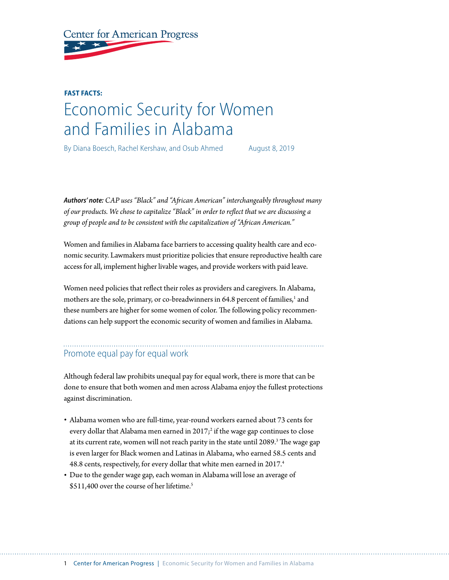**Center for American Progress** 

# **FAST FACTS:**  Economic Security for Women and Families in Alabama

By Diana Boesch, Rachel Kershaw, and Osub Ahmed August 8, 2019

*Authors' note: CAP uses "Black" and "African American" interchangeably throughout many of our products. We chose to capitalize "Black" in order to reflect that we are discussing a group of people and to be consistent with the capitalization of "African American."* 

Women and families in Alabama face barriers to accessing quality health care and economic security. Lawmakers must prioritize policies that ensure reproductive health care access for all, implement higher livable wages, and provide workers with paid leave.

Women need policies that reflect their roles as providers and caregivers. In Alabama, mothers are the sole, primary, or co-breadwinners in 64.8 percent of families,<sup>1</sup> and these numbers are higher for some women of color. The following policy recommendations can help support the economic security of women and families in Alabama.

## Promote equal pay for equal work

Although federal law prohibits unequal pay for equal work, there is more that can be done to ensure that both women and men across Alabama enjoy the fullest protections against discrimination.

- Alabama women who are full-time, year-round workers earned about 73 cents for every dollar that Alabama men earned in 2017; $^2$  if the wage gap continues to close at its current rate, women will not reach parity in the state until 2089. $^3$  The wage gap is even larger for Black women and Latinas in Alabama, who earned 58.5 cents and 48.8 cents, respectively, for every dollar that white men earned in 2017.<sup>4</sup>
- Due to the gender wage gap, each woman in Alabama will lose an average of \$511,400 over the course of her lifetime.<sup>5</sup>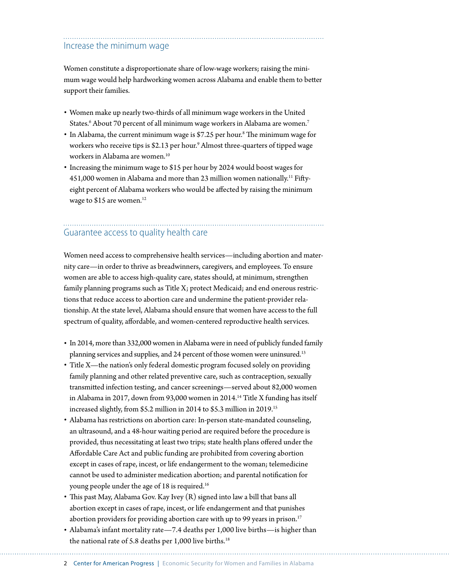#### Increase the minimum wage

Women constitute a disproportionate share of low-wage workers; raising the minimum wage would help hardworking women across Alabama and enable them to better support their families.

- Women make up nearly two-thirds of all minimum wage workers in the United States. $^6$  About 70 percent of all minimum wage workers in Alabama are women. $^7$
- In Alabama, the current minimum wage is \$7.25 per hour.<sup>8</sup> The minimum wage for workers who receive tips is \$2.13 per hour.<sup>9</sup> Almost three-quarters of tipped wage workers in Alabama are women.<sup>10</sup>
- Increasing the minimum wage to \$15 per hour by 2024 would boost wages for 451,000 women in Alabama and more than 23 million women nationally.<sup>11</sup> Fiftyeight percent of Alabama workers who would be affected by raising the minimum wage to \$15 are women.<sup>12</sup>

### Guarantee access to quality health care

Women need access to comprehensive health services—including abortion and maternity care—in order to thrive as breadwinners, caregivers, and employees. To ensure women are able to access high-quality care, states should, at minimum, strengthen family planning programs such as Title X; protect Medicaid; and end onerous restrictions that reduce access to abortion care and undermine the patient-provider relationship. At the state level, Alabama should ensure that women have access to the full spectrum of quality, affordable, and women-centered reproductive health services.

- In 2014, more than 332,000 women in Alabama were in need of publicly funded family planning services and supplies, and 24 percent of those women were uninsured.<sup>13</sup>
- Title X—the nation's only federal domestic program focused solely on providing family planning and other related preventive care, such as contraception, sexually transmitted infection testing, and cancer screenings—served about 82,000 women in Alabama in 2017, down from 93,000 women in 2014.<sup>14</sup> Title X funding has itself increased slightly, from \$5.2 million in 2014 to \$5.3 million in 2019.15
- Alabama has restrictions on abortion care: In-person state-mandated counseling, an ultrasound, and a 48-hour waiting period are required before the procedure is provided, thus necessitating at least two trips; state health plans offered under the Affordable Care Act and public funding are prohibited from covering abortion except in cases of rape, incest, or life endangerment to the woman; telemedicine cannot be used to administer medication abortion; and parental notification for young people under the age of 18 is required.16
- This past May, Alabama Gov. Kay Ivey (R) signed into law a bill that bans all abortion except in cases of rape, incest, or life endangerment and that punishes abortion providers for providing abortion care with up to 99 years in prison.<sup>17</sup>
- Alabama's infant mortality rate—7.4 deaths per 1,000 live births—is higher than the national rate of 5.8 deaths per 1,000 live births.<sup>18</sup>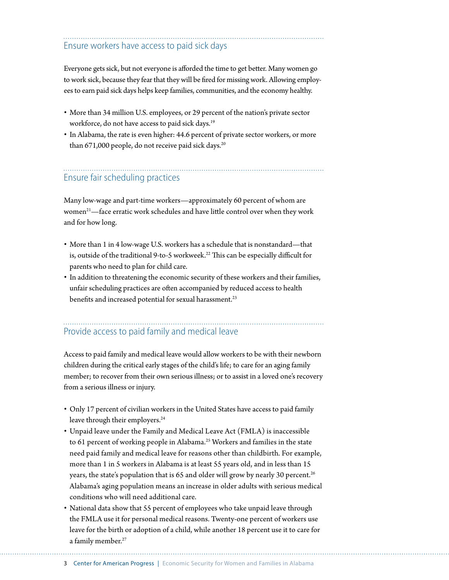### Ensure workers have access to paid sick days

Everyone gets sick, but not everyone is afforded the time to get better. Many women go to work sick, because they fear that they will be fired for missing work. Allowing employees to earn paid sick days helps keep families, communities, and the economy healthy.

- More than 34 million U.S. employees, or 29 percent of the nation's private sector workforce, do not have access to paid sick days.<sup>19</sup>
- In Alabama, the rate is even higher: 44.6 percent of private sector workers, or more than  $671,000$  people, do not receive paid sick days.<sup>20</sup>

## Ensure fair scheduling practices

Many low-wage and part-time workers—approximately 60 percent of whom are women<sup>21</sup>—face erratic work schedules and have little control over when they work and for how long.

- More than 1 in 4 low-wage U.S. workers has a schedule that is nonstandard—that is, outside of the traditional 9-to-5 workweek.<sup>22</sup> This can be especially difficult for parents who need to plan for child care.
- In addition to threatening the economic security of these workers and their families, unfair scheduling practices are often accompanied by reduced access to health benefits and increased potential for sexual harassment.<sup>23</sup>

#### Provide access to paid family and medical leave

Access to paid family and medical leave would allow workers to be with their newborn children during the critical early stages of the child's life; to care for an aging family member; to recover from their own serious illness; or to assist in a loved one's recovery from a serious illness or injury.

- Only 17 percent of civilian workers in the United States have access to paid family leave through their employers.<sup>24</sup>
- Unpaid leave under the Family and Medical Leave Act (FMLA) is inaccessible to 61 percent of working people in Alabama.<sup>25</sup> Workers and families in the state need paid family and medical leave for reasons other than childbirth. For example, more than 1 in 5 workers in Alabama is at least 55 years old, and in less than 15 years, the state's population that is 65 and older will grow by nearly 30 percent.<sup>26</sup> Alabama's aging population means an increase in older adults with serious medical conditions who will need additional care.
- National data show that 55 percent of employees who take unpaid leave through the FMLA use it for personal medical reasons. Twenty-one percent of workers use leave for the birth or adoption of a child, while another 18 percent use it to care for a family member.<sup>27</sup>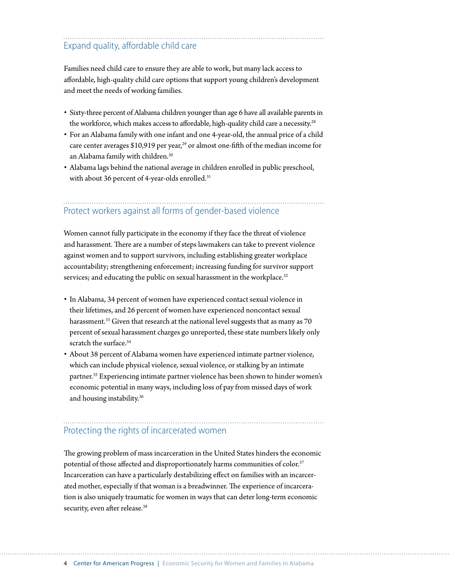## Expand quality, affordable child care

Families need child care to ensure they are able to work, but many lack access to affordable, high-quality child care options that support young children's development and meet the needs of working families.

- Sixty-three percent of Alabama children younger than age 6 have all available parents in the workforce, which makes access to affordable, high-quality child care a necessity.<sup>28</sup>
- For an Alabama family with one infant and one 4-year-old, the annual price of a child care center averages  $$10,919$  per year,<sup>29</sup> or almost one-fifth of the median income for an Alabama family with children.30
- Alabama lags behind the national average in children enrolled in public preschool, with about 36 percent of 4-year-olds enrolled.<sup>31</sup>

#### Protect workers against all forms of gender-based violence

Women cannot fully participate in the economy if they face the threat of violence and harassment. There are a number of steps lawmakers can take to prevent violence against women and to support survivors, including establishing greater workplace accountability; strengthening enforcement; increasing funding for survivor support services; and educating the public on sexual harassment in the workplace.<sup>32</sup>

- In Alabama, 34 percent of women have experienced contact sexual violence in their lifetimes, and 26 percent of women have experienced noncontact sexual harassment.<sup>33</sup> Given that research at the national level suggests that as many as 70 percent of sexual harassment charges go unreported, these state numbers likely only scratch the surface.<sup>34</sup>
- About 38 percent of Alabama women have experienced intimate partner violence, which can include physical violence, sexual violence, or stalking by an intimate partner.<sup>35</sup> Experiencing intimate partner violence has been shown to hinder women's economic potential in many ways, including loss of pay from missed days of work and housing instability.<sup>36</sup>

#### Protecting the rights of incarcerated women

The growing problem of mass incarceration in the United States hinders the economic potential of those affected and disproportionately harms communities of color.<sup>37</sup> Incarceration can have a particularly destabilizing effect on families with an incarcerated mother, especially if that woman is a breadwinner. The experience of incarceration is also uniquely traumatic for women in ways that can deter long-term economic security, even after release.<sup>38</sup>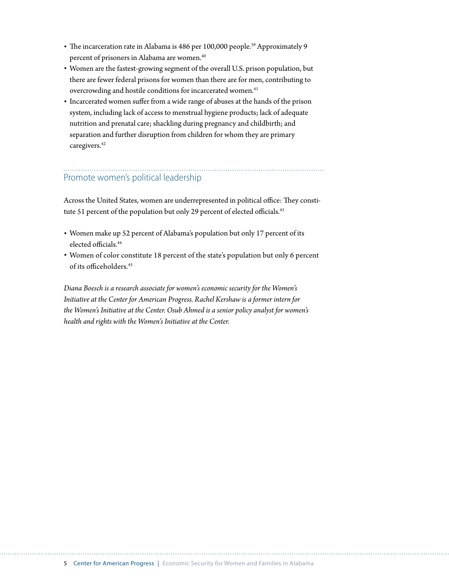- The incarceration rate in Alabama is 486 per 100,000 people.<sup>39</sup> Approximately 9 percent of prisoners in Alabama are women.<sup>40</sup>
- Women are the fastest-growing segment of the overall U.S. prison population, but there are fewer federal prisons for women than there are for men, contributing to overcrowding and hostile conditions for incarcerated women.<sup>41</sup>
- Incarcerated women suffer from a wide range of abuses at the hands of the prison system, including lack of access to menstrual hygiene products; lack of adequate nutrition and prenatal care; shackling during pregnancy and childbirth; and separation and further disruption from children for whom they are primary caregivers.<sup>42</sup>

## Promote women's political leadership

Across the United States, women are underrepresented in political office: They constitute 51 percent of the population but only 29 percent of elected officials.<sup>43</sup>

- Women make up 52 percent of Alabama's population but only 17 percent of its elected officials.<sup>44</sup>
- Women of color constitute 18 percent of the state's population but only 6 percent of its officeholders.<sup>45</sup>

*Diana Boesch is a research associate for women's economic security for the Women's Initiative at the Center for American Progress. Rachel Kershaw is a former intern for the Women's Initiative at the Center. Osub Ahmed is a senior policy analyst for women's health and rights with the Women's Initiative at the Center.*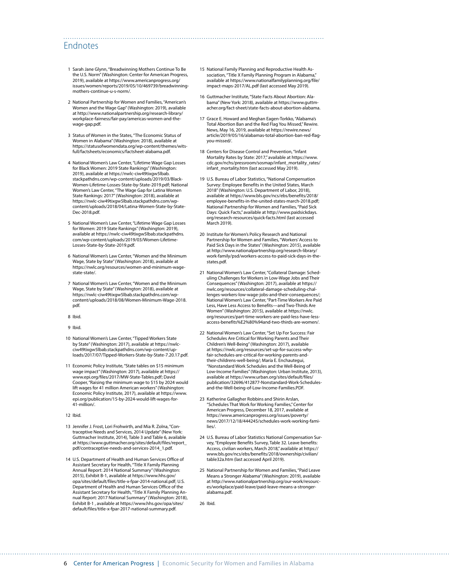#### Endnotes

- 1 Sarah Jane Glynn, "Breadwinning Mothers Continue To Be the U.S. Norm" (Washington: Center for American Progress, 2019), available at [https://www.americanprogress.org/](https://www.americanprogress.org/issues/women/reports/2019/05/10/469739/breadwinning-mothers-continue-u-s-norm/) [issues/women/reports/2019/05/10/469739/breadwinning](https://www.americanprogress.org/issues/women/reports/2019/05/10/469739/breadwinning-mothers-continue-u-s-norm/)[mothers-continue-u-s-norm/](https://www.americanprogress.org/issues/women/reports/2019/05/10/469739/breadwinning-mothers-continue-u-s-norm/).
- 2 National Partnership for Women and Families, "American's Women and the Wage Gap" (Washington: 2019), available at [http://www.nationalpartnership.org/research-library/](http://www.nationalpartnership.org/research-library/workplace-fairness/fair-pay/americas-women-and-the-wage-gap.pdf) [workplace-fairness/fair-pay/americas-women-and-the](http://www.nationalpartnership.org/research-library/workplace-fairness/fair-pay/americas-women-and-the-wage-gap.pdf)[wage-gap.pdf.](http://www.nationalpartnership.org/research-library/workplace-fairness/fair-pay/americas-women-and-the-wage-gap.pdf)
- 3 Status of Women in the States, "The Economic Status of Women in Alabama" (Washington: 2018), available at [https://statusofwomendata.org/wp-content/themes/wits](https://statusofwomendata.org/wp-content/themes/witsfull/factsheets/economics/factsheet-alabama.pdf)[full/factsheets/economics/factsheet-alabama.pdf.](https://statusofwomendata.org/wp-content/themes/witsfull/factsheets/economics/factsheet-alabama.pdf)
- 4 National Women's Law Center, "Lifetime Wage Gap Losses for Black Women: 2019 State Rankings" (Washington: 2019), available at [https://nwlc-ciw49tixgw5lbab.](https://nwlc-ciw49tixgw5lbab.stackpathdns.com/wp-content/uploads/2019/03/Black-Women-Lifetime-Losses-State-by-State-2019.pdf) [stackpathdns.com/wp-content/uploads/2019/03/Black-](https://nwlc-ciw49tixgw5lbab.stackpathdns.com/wp-content/uploads/2019/03/Black-Women-Lifetime-Losses-State-by-State-2019.pdf)[Women-Lifetime-Losses-State-by-State-2019.pdf;](https://nwlc-ciw49tixgw5lbab.stackpathdns.com/wp-content/uploads/2019/03/Black-Women-Lifetime-Losses-State-by-State-2019.pdf) National Women's Law Center, "The Wage Gap for Latina Women State Rankings: 2017" (Washington: 2018), available at [https://nwlc-ciw49tixgw5lbab.stackpathdns.com/wp](https://nwlc-ciw49tixgw5lbab.stackpathdns.com/wp-content/uploads/2018/04/Latina-Women-State-by-State-Dec-2018.pdf)[content/uploads/2018/04/Latina-Women-State-by-State-](https://nwlc-ciw49tixgw5lbab.stackpathdns.com/wp-content/uploads/2018/04/Latina-Women-State-by-State-Dec-2018.pdf)[Dec-2018.pdf](https://nwlc-ciw49tixgw5lbab.stackpathdns.com/wp-content/uploads/2018/04/Latina-Women-State-by-State-Dec-2018.pdf).
- 5 National Women's Law Center, "Lifetime Wage Gap Losses for Women: 2019 State Rankings" (Washington: 2019), available at [https://nwlc-ciw49tixgw5lbab.stackpathdns.](https://nwlc-ciw49tixgw5lbab.stackpathdns.com/wp-content/uploads/2019/03/Women-Lifetime-Losses-State-by-State-2019.pdf) [com/wp-content/uploads/2019/03/Women-Lifetime-](https://nwlc-ciw49tixgw5lbab.stackpathdns.com/wp-content/uploads/2019/03/Women-Lifetime-Losses-State-by-State-2019.pdf)[Losses-State-by-State-2019.pdf.](https://nwlc-ciw49tixgw5lbab.stackpathdns.com/wp-content/uploads/2019/03/Women-Lifetime-Losses-State-by-State-2019.pdf)
- 6 National Women's Law Center, "Women and the Minimum Wage, State by State" (Washington: 2018), available at [https://nwlc.org/resources/women-and-minimum-wage](https://nwlc.org/resources/women-and-minimum-wage-state-state/)[state-state/.](https://nwlc.org/resources/women-and-minimum-wage-state-state/)
- 7 National Women's Law Center, "Women and the Minimum Wage, State by State" (Washington: 2018), available at [https://nwlc-ciw49tixgw5lbab.stackpathdns.com/wp](https://nwlc-ciw49tixgw5lbab.stackpathdns.com/wp-content/uploads/2018/08/Women-Minimum-Wage-2018.pdf)[content/uploads/2018/08/Women-Minimum-Wage-2018.](https://nwlc-ciw49tixgw5lbab.stackpathdns.com/wp-content/uploads/2018/08/Women-Minimum-Wage-2018.pdf) [pdf](https://nwlc-ciw49tixgw5lbab.stackpathdns.com/wp-content/uploads/2018/08/Women-Minimum-Wage-2018.pdf).
- 8 Ibid.
- 9 Ibid.
- 10 National Women's Law Center, "Tipped Workers State by State" (Washington: 2017), available at [https://nwlc](https://nwlc-ciw49tixgw5lbab.stackpathdns.com/wp-content/uploads/2017/07/Tipped-Workers-State-by-State-7.20.17.pdf)[ciw49tixgw5lbab.stackpathdns.com/wp-content/up](https://nwlc-ciw49tixgw5lbab.stackpathdns.com/wp-content/uploads/2017/07/Tipped-Workers-State-by-State-7.20.17.pdf)[loads/2017/07/Tipped-Workers-State-by-State-7.20.17.pdf.](https://nwlc-ciw49tixgw5lbab.stackpathdns.com/wp-content/uploads/2017/07/Tipped-Workers-State-by-State-7.20.17.pdf)
- 11 Economic Policy Institute, "State tables on \$15 minimum wage impact" (Washington: 2017), available at [https://](https://www.epi.org/files/2017/MW-State-Tables.pdf) [www.epi.org/files/2017/MW-State-Tables.pdf;](https://www.epi.org/files/2017/MW-State-Tables.pdf) David Cooper, "Raising the minimum wage to \$15 by 2024 would lift wages for 41 million American workers" (Washington: Economic Policy Institute, 2017), available at [https://www.](https://www.epi.org/publication/15-by-2024-would-lift-wages-for-41-million/) [epi.org/publication/15-by-2024-would-lift-wages-for-](https://www.epi.org/publication/15-by-2024-would-lift-wages-for-41-million/)[41-million/.](https://www.epi.org/publication/15-by-2024-would-lift-wages-for-41-million/)

#### 12 Ibid.

- 13 Jennifer J. Frost, Lori Frohwirth, and Mia R. Zolna, "Contraceptive Needs and Services, 2014 Update" (New York: Guttmacher Institute, 2014), Table 3 and Table 6, available at [https://www.guttmacher.org/sites/default/files/report\\_](https://www.guttmacher.org/sites/default/files/report_pdf/contraceptive-needs-and-services-2014_1.pdf) [pdf/contraceptive-needs-and-services-2014\\_1.pdf](https://www.guttmacher.org/sites/default/files/report_pdf/contraceptive-needs-and-services-2014_1.pdf).
- 14 U.S. Department of Health and Human Services Office of Assistant Secretary for Health, "Title X Family Planning Annual Report: 2014 National Summary" (Washington: 2015), Exhibit B-1, available at [https://www.hhs.gov/](https://www.hhs.gov/opa/sites/default/files/title-x-fpar-2014-national.pdf) [opa/sites/default/files/title-x-fpar-2014-national.pdf](https://www.hhs.gov/opa/sites/default/files/title-x-fpar-2014-national.pdf); U.S. Department of Health and Human Services Office of the Assistant Secretary for Health, "Title X Family Planning Annual Report: 2017 National Summary" (Washington: 2018), Exhibit B-1 , available at [https://www.hhs.gov/opa/sites/](https://www.hhs.gov/opa/sites/default/files/title-x-fpar-2017-national-summary.pdf) [default/files/title-x-fpar-2017-national-summary.pdf](https://www.hhs.gov/opa/sites/default/files/title-x-fpar-2017-national-summary.pdf).

15 National Family Planning and Reproductive Health Association, "Title X Family Planning Program in Alabama," available at [https://www.nationalfamilyplanning.org/file/](https://www.nationalfamilyplanning.org/file/impact-maps-2017/AL.pdf) [impact-maps-2017/AL.pdf](https://www.nationalfamilyplanning.org/file/impact-maps-2017/AL.pdf) (last accessed May 2019).

- 16 Guttmacher Institute, "State Facts About Abortion: Alabama" (New York: 2018), available at [https://www.guttm](https://www.guttmacher.org/fact-sheet/state-facts-about-abortion-alabama)[acher.org/fact-sheet/state-facts-about-abortion-alabama.](https://www.guttmacher.org/fact-sheet/state-facts-about-abortion-alabama)
- 17 Grace E. Howard and Meghan Eagen-Torkko, "Alabama's Total Abortion Ban and the Red Flag You Missed," Rewire. News, May 16, 2019, available at [https://rewire.news/](https://rewire.news/article/2019/05/16/alabamas-total-abortion-ban-red-flag-you-missed/) [article/2019/05/16/alabamas-total-abortion-ban-red-flag](https://rewire.news/article/2019/05/16/alabamas-total-abortion-ban-red-flag-you-missed/)[you-missed/](https://rewire.news/article/2019/05/16/alabamas-total-abortion-ban-red-flag-you-missed/).
- 18 Centers for Disease Control and Prevention "Infant Mortality Rates by State: 2017," available at [https://www.](https://www.cdc.gov/nchs/pressroom/sosmap/infant_mortality_rates/infant_mortality.htm) [cdc.gov/nchs/pressroom/sosmap/infant\\_mortality\\_rates/](https://www.cdc.gov/nchs/pressroom/sosmap/infant_mortality_rates/infant_mortality.htm) [infant\\_mortality.htm](https://www.cdc.gov/nchs/pressroom/sosmap/infant_mortality_rates/infant_mortality.htm) (last accessed May 2019).
- 19 U.S. Bureau of Labor Statistics, "National Compensation Survey: Employee Benefits in the United States, March 2018" (Washington: U.S. Department of Labor, 2018), available at [https://www.bls.gov/ncs/ebs/benefits/2018/](https://www.bls.gov/ncs/ebs/benefits/2018/employee-benefits-in-the-united-states-march-2018.pdf) [employee-benefits-in-the-united-states-march-2018.pdf](https://www.bls.gov/ncs/ebs/benefits/2018/employee-benefits-in-the-united-states-march-2018.pdf); National Partnership for Women and Families, "Paid Sick Days: Quick Facts," available at [http://www.paidsickdays.](http://www.paidsickdays.org/research-resources/quick-facts.html) [org/research-resources/quick-facts.html](http://www.paidsickdays.org/research-resources/quick-facts.html) (last accessed March 2019).
- 20 Institute for Women's Policy Research and National Partnership for Women and Families, "Workers' Access to Paid Sick Days in the States" (Washington: 2015), available at [http://www.nationalpartnership.org/research-library/](http://www.nationalpartnership.org/research-library/work-family/psd/workers-access-to-paid-sick-days-in-the-states.pdf) [work-family/psd/workers-access-to-paid-sick-days-in-the](http://www.nationalpartnership.org/research-library/work-family/psd/workers-access-to-paid-sick-days-in-the-states.pdf)[states.pdf](http://www.nationalpartnership.org/research-library/work-family/psd/workers-access-to-paid-sick-days-in-the-states.pdf).
- 21 National Women's Law Center, "Collateral Damage: Scheduling Challenges for Workers in Low-Wage Jobs and Their Consequences" (Washington: 2017), available at [https://](https://nwlc.org/resources/collateral-damage-scheduling-challenges-workers-low-wage-jobs-and-their-consequences/) [nwlc.org/resources/collateral-damage-scheduling-chal](https://nwlc.org/resources/collateral-damage-scheduling-challenges-workers-low-wage-jobs-and-their-consequences/)[lenges-workers-low-wage-jobs-and-their-consequences/](https://nwlc.org/resources/collateral-damage-scheduling-challenges-workers-low-wage-jobs-and-their-consequences/); National Women's Law Center, "Part-Time Workers Are Paid Less, Have Less Access to Benefits—and Two-Thirds Are Women" (Washington: 2015), available at [https://nwlc.](https://nwlc.org/resources/part-time-workers-are-paid-less-have-less-access-benefits%E2%80%94and-two-thirds-are-women/) [org/resources/part-time-workers-are-paid-less-have-less](https://nwlc.org/resources/part-time-workers-are-paid-less-have-less-access-benefits%E2%80%94and-two-thirds-are-women/)[access-benefits%E2%80%94and-two-thirds-are-women/.](https://nwlc.org/resources/part-time-workers-are-paid-less-have-less-access-benefits%E2%80%94and-two-thirds-are-women/)
- 22 National Women's Law Center, "Set Up For Success: Fair Schedules Are Critical for Working Parents and Their Children's Well-Being" (Washington: 2017), available at [https://nwlc.org/resources/set-up-for-success-why](https://nwlc.org/resources/set-up-for-success-why-fair-schedules-are-critical-for-working-parents-and-their-childrens-well-being/)[fair-schedules-are-critical-for-working-parents-and](https://nwlc.org/resources/set-up-for-success-why-fair-schedules-are-critical-for-working-parents-and-their-childrens-well-being/)[their-childrens-well-being/](https://nwlc.org/resources/set-up-for-success-why-fair-schedules-are-critical-for-working-parents-and-their-childrens-well-being/); María E. Enchautegui, "Nonstandard Work Schedules and the Well-Being of Low-Income Families" (Washington: Urban Institute, 2013), available at [https://www.urban.org/sites/default/files/](https://www.urban.org/sites/default/files/publication/32696/412877-Nonstandard-Work-Schedules-and-the-Well-being-of-Low-Income-Families.PDF) [publication/32696/412877-Nonstandard-Work-Schedules](https://www.urban.org/sites/default/files/publication/32696/412877-Nonstandard-Work-Schedules-and-the-Well-being-of-Low-Income-Families.PDF)[and-the-Well-being-of-Low-Income-Families.PDF.](https://www.urban.org/sites/default/files/publication/32696/412877-Nonstandard-Work-Schedules-and-the-Well-being-of-Low-Income-Families.PDF)
- 23 Katherine Gallagher Robbins and Shirin Arslan, "Schedules That Work for Working Families," Center for American Progress, December 18, 2017, available at [https://www.americanprogress.org/issues/poverty/](https://www.americanprogress.org/issues/poverty/news/2017/12/18/444245/schedules-work-working-families/) [news/2017/12/18/444245/schedules-work-working-fami](https://www.americanprogress.org/issues/poverty/news/2017/12/18/444245/schedules-work-working-families/)[lies/](https://www.americanprogress.org/issues/poverty/news/2017/12/18/444245/schedules-work-working-families/).
- 24 U.S. Bureau of Labor Statistics National Compensation Survey, "Employee Benefits Survey, Table 32. Leave benefits: Access, civilian workers, March 2018," available at [https://](https://www.bls.gov/ncs/ebs/benefits/2018/ownership/civilian/table32a.htm) [www.bls.gov/ncs/ebs/benefits/2018/ownership/civilian/](https://www.bls.gov/ncs/ebs/benefits/2018/ownership/civilian/table32a.htm) [table32a.htm](https://www.bls.gov/ncs/ebs/benefits/2018/ownership/civilian/table32a.htm) (last accessed April 2019).
- 25 National Partnership for Women and Families, "Paid Leave Means a Stronger Alabama" (Washington: 2019), available at [http://www.nationalpartnership.org/our-work/resourc](http://www.nationalpartnership.org/our-work/resources/workplace/paid-leave/paid-leave-means-a-stronger-alabama.pdf)[es/workplace/paid-leave/paid-leave-means-a-stronger](http://www.nationalpartnership.org/our-work/resources/workplace/paid-leave/paid-leave-means-a-stronger-alabama.pdf)[alabama.pdf.](http://www.nationalpartnership.org/our-work/resources/workplace/paid-leave/paid-leave-means-a-stronger-alabama.pdf)

26 Ibid.

6 Center for American Progress | Economic Security for Women and Families in Alabama